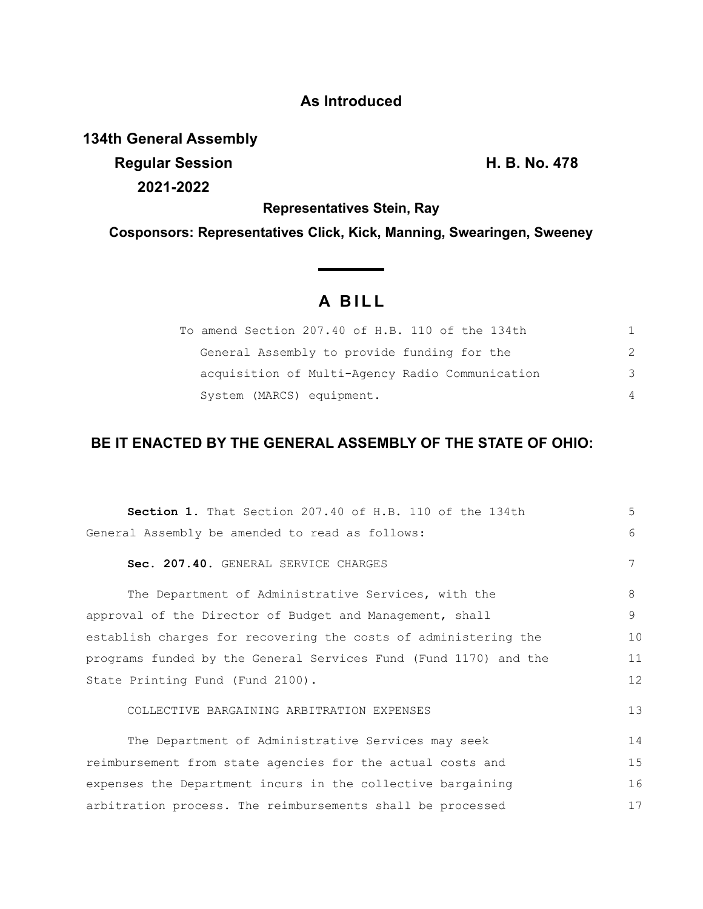## **As Introduced**

**134th General Assembly**

**Regular Session H. B. No. 478 2021-2022**

**Representatives Stein, Ray**

**Cosponsors: Representatives Click, Kick, Manning, Swearingen, Sweeney**

## **A B I L L**

| To amend Section 207.40 of H.B. 110 of the 134th |               |
|--------------------------------------------------|---------------|
| General Assembly to provide funding for the      | $\mathcal{P}$ |
| acquisition of Multi-Agency Radio Communication  | 3             |
| System (MARCS) equipment.                        | 4             |

## **BE IT ENACTED BY THE GENERAL ASSEMBLY OF THE STATE OF OHIO:**

| 5  |
|----|
| 6  |
| 7  |
| 8  |
| 9  |
| 10 |
| 11 |
| 12 |
| 13 |
| 14 |
| 15 |
| 16 |
| 17 |
|    |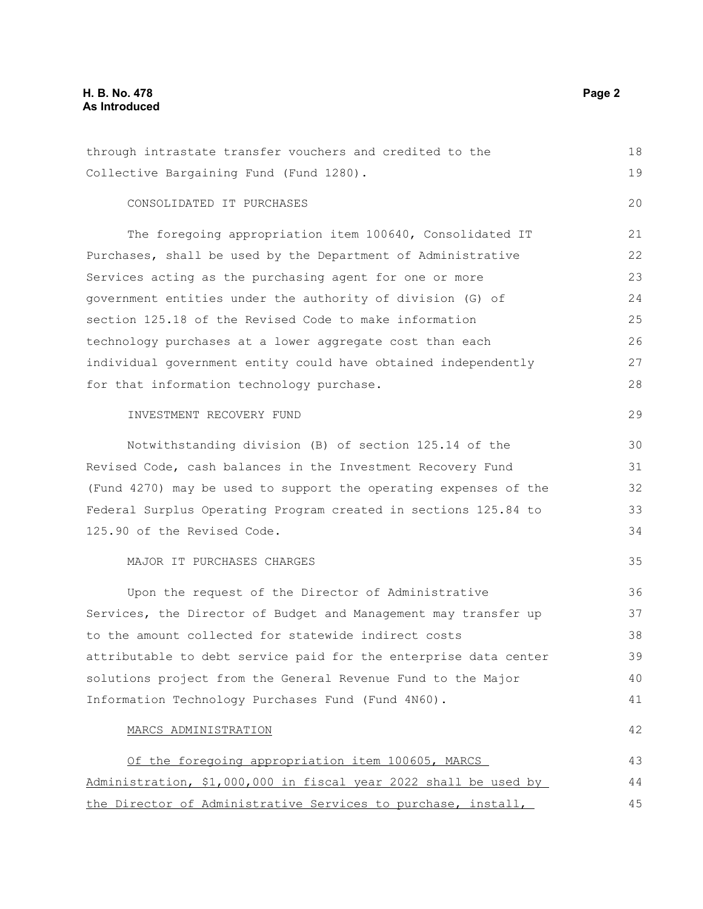## **H. B. No. 478 Page 2 As Introduced**

| through intrastate transfer vouchers and credited to the         | 18 |
|------------------------------------------------------------------|----|
| Collective Bargaining Fund (Fund 1280).                          | 19 |
| CONSOLIDATED IT PURCHASES                                        | 20 |
| The foregoing appropriation item 100640, Consolidated IT         | 21 |
| Purchases, shall be used by the Department of Administrative     | 22 |
| Services acting as the purchasing agent for one or more          | 23 |
| government entities under the authority of division (G) of       | 24 |
| section 125.18 of the Revised Code to make information           | 25 |
| technology purchases at a lower aggregate cost than each         | 26 |
| individual government entity could have obtained independently   | 27 |
| for that information technology purchase.                        | 28 |
| INVESTMENT RECOVERY FUND                                         | 29 |
| Notwithstanding division (B) of section 125.14 of the            | 30 |
| Revised Code, cash balances in the Investment Recovery Fund      | 31 |
| (Fund 4270) may be used to support the operating expenses of the | 32 |
| Federal Surplus Operating Program created in sections 125.84 to  | 33 |
| 125.90 of the Revised Code.                                      | 34 |
| MAJOR IT PURCHASES CHARGES                                       | 35 |
| Upon the request of the Director of Administrative               | 36 |
| Services, the Director of Budget and Management may transfer up  | 37 |
| to the amount collected for statewide indirect costs             | 38 |
| attributable to debt service paid for the enterprise data center | 39 |
| solutions project from the General Revenue Fund to the Major     | 40 |
| Information Technology Purchases Fund (Fund 4N60).               | 41 |
| MARCS ADMINISTRATION                                             | 42 |
| Of the foregoing appropriation item 100605, MARCS                | 43 |
| Administration, \$1,000,000 in fiscal year 2022 shall be used by | 44 |
| the Director of Administrative Services to purchase, install,    | 45 |